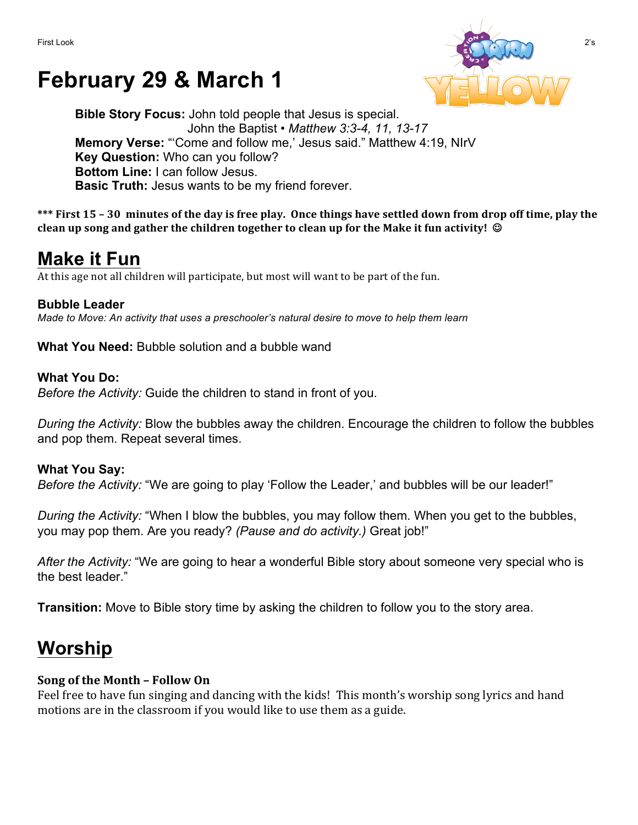# **February 29 & March 1**



**Bible Story Focus:** John told people that Jesus is special. John the Baptist • *Matthew 3:3-4, 11, 13-17* **Memory Verse:** "'Come and follow me,' Jesus said." Matthew 4:19, NIrV **Key Question:** Who can you follow? **Bottom Line:** I can follow Jesus. **Basic Truth:** Jesus wants to be my friend forever.

\*\*\* First 15 – 30 minutes of the day is free play. Once things have settled down from drop off time, play the **clean up song and gather the children together to clean up for the Make it fun activity!** ©

### **Make it Fun**

At this age not all children will participate, but most will want to be part of the fun.

#### **Bubble Leader**

*Made to Move: An activity that uses a preschooler's natural desire to move to help them learn*

**What You Need:** Bubble solution and a bubble wand

#### **What You Do:**

*Before the Activity:* Guide the children to stand in front of you.

*During the Activity:* Blow the bubbles away the children. Encourage the children to follow the bubbles and pop them. Repeat several times.

#### **What You Say:**

*Before the Activity:* "We are going to play 'Follow the Leader,' and bubbles will be our leader!"

*During the Activity:* "When I blow the bubbles, you may follow them. When you get to the bubbles, you may pop them. Are you ready? *(Pause and do activity.)* Great job!"

*After the Activity:* "We are going to hear a wonderful Bible story about someone very special who is the best leader."

**Transition:** Move to Bible story time by asking the children to follow you to the story area.

## **Worship**

### **Song of the Month - Follow On**

Feel free to have fun singing and dancing with the kids! This month's worship song lyrics and hand motions are in the classroom if you would like to use them as a guide.